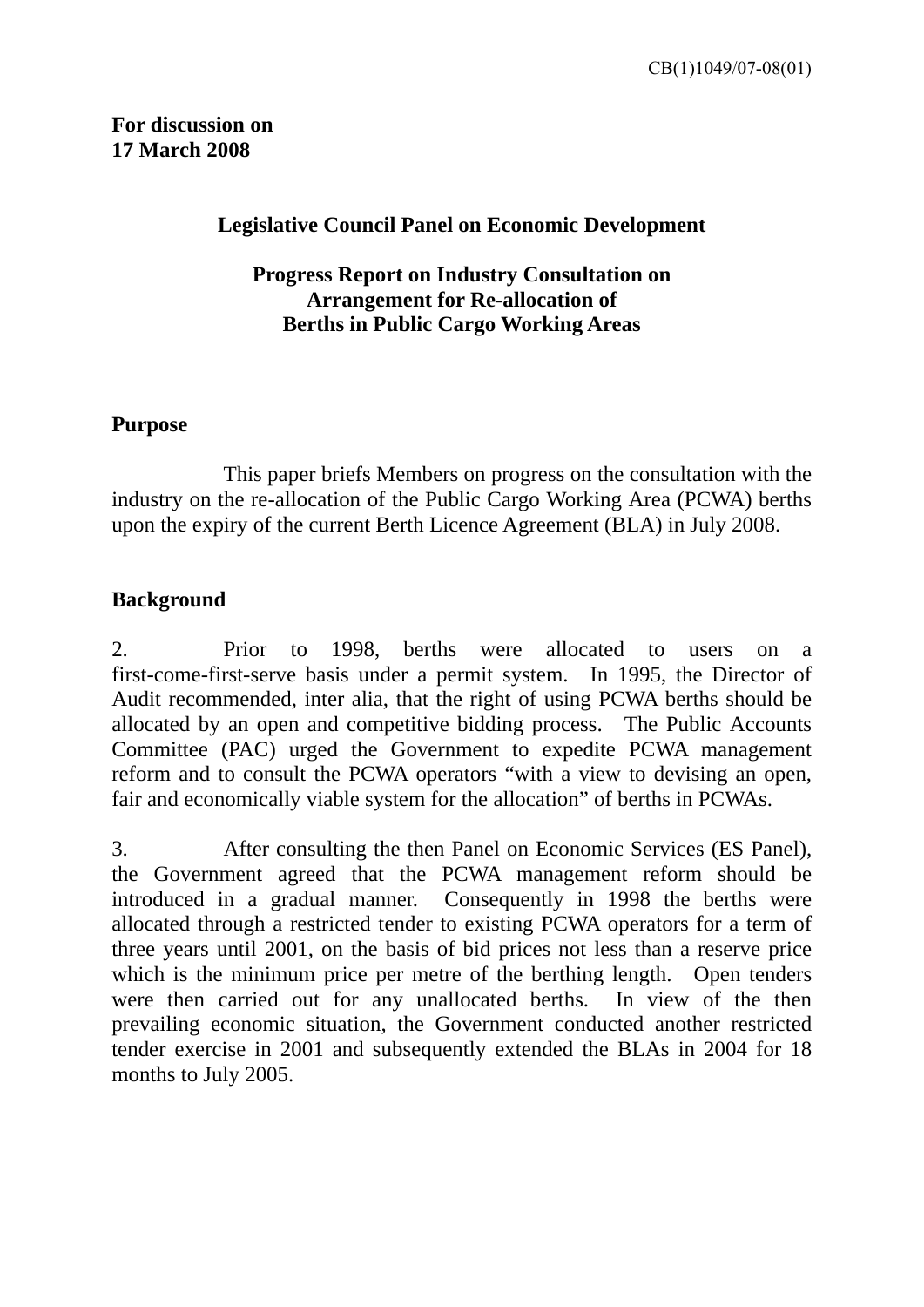#### **Legislative Council Panel on Economic Development**

#### **Progress Report on Industry Consultation on Arrangement for Re-allocation of Berths in Public Cargo Working Areas**

#### **Purpose**

 This paper briefs Members on progress on the consultation with the industry on the re-allocation of the Public Cargo Working Area (PCWA) berths upon the expiry of the current Berth Licence Agreement (BLA) in July 2008.

## **Background**

2. Prior to 1998, berths were allocated to users on a first-come-first-serve basis under a permit system. In 1995, the Director of Audit recommended, inter alia, that the right of using PCWA berths should be allocated by an open and competitive bidding process. The Public Accounts Committee (PAC) urged the Government to expedite PCWA management reform and to consult the PCWA operators "with a view to devising an open, fair and economically viable system for the allocation" of berths in PCWAs.

3. After consulting the then Panel on Economic Services (ES Panel), the Government agreed that the PCWA management reform should be introduced in a gradual manner. Consequently in 1998 the berths were allocated through a restricted tender to existing PCWA operators for a term of three years until 2001, on the basis of bid prices not less than a reserve price which is the minimum price per metre of the berthing length. Open tenders were then carried out for any unallocated berths. In view of the then prevailing economic situation, the Government conducted another restricted tender exercise in 2001 and subsequently extended the BLAs in 2004 for 18 months to July 2005.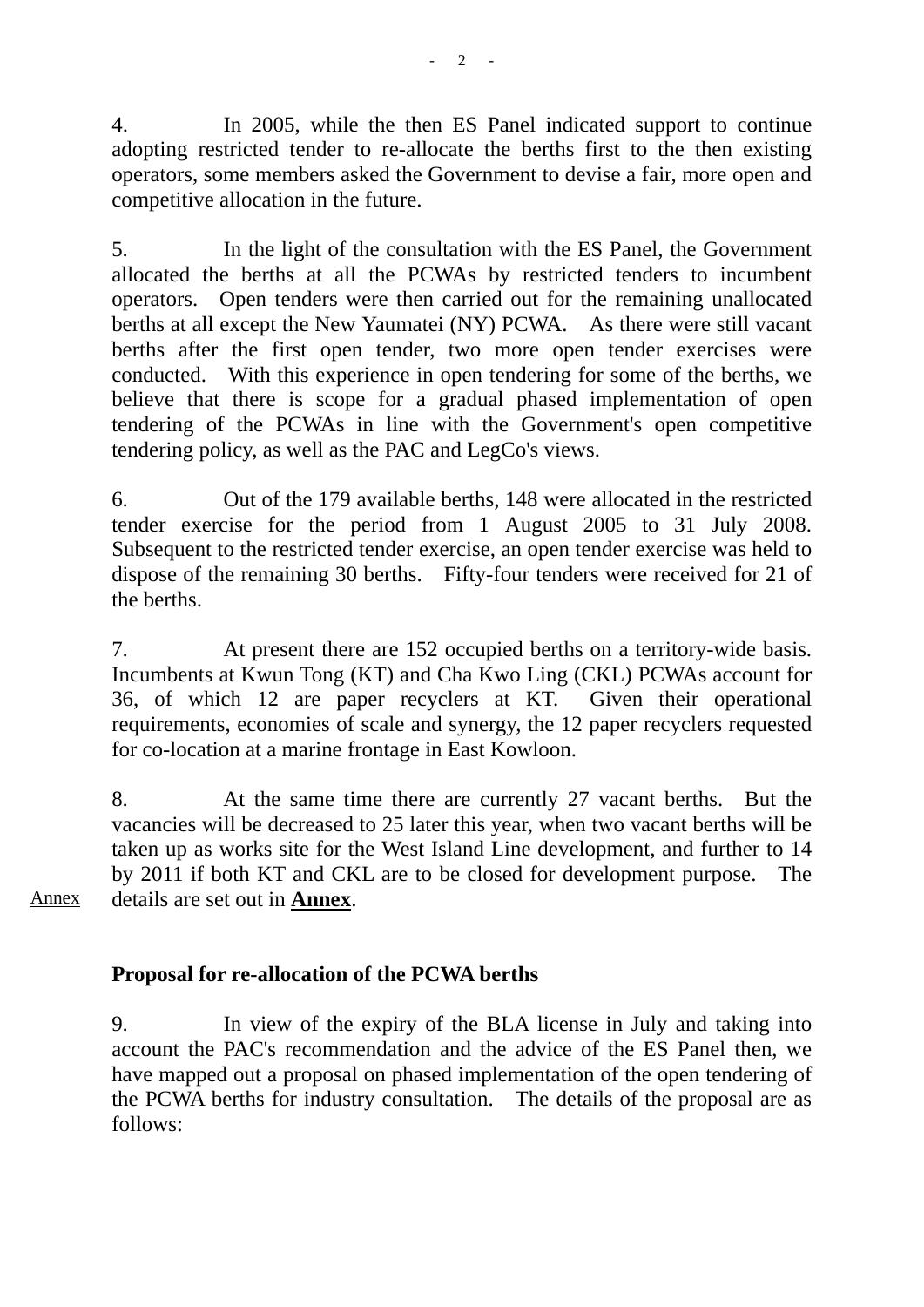4. In 2005, while the then ES Panel indicated support to continue adopting restricted tender to re-allocate the berths first to the then existing operators, some members asked the Government to devise a fair, more open and competitive allocation in the future.

5. In the light of the consultation with the ES Panel, the Government allocated the berths at all the PCWAs by restricted tenders to incumbent operators. Open tenders were then carried out for the remaining unallocated berths at all except the New Yaumatei (NY) PCWA. As there were still vacant berths after the first open tender, two more open tender exercises were conducted. With this experience in open tendering for some of the berths, we believe that there is scope for a gradual phased implementation of open tendering of the PCWAs in line with the Government's open competitive tendering policy, as well as the PAC and LegCo's views.

6. Out of the 179 available berths, 148 were allocated in the restricted tender exercise for the period from 1 August 2005 to 31 July 2008. Subsequent to the restricted tender exercise, an open tender exercise was held to dispose of the remaining 30 berths. Fifty-four tenders were received for 21 of the berths.

7. At present there are 152 occupied berths on a territory-wide basis. Incumbents at Kwun Tong (KT) and Cha Kwo Ling (CKL) PCWAs account for 36, of which 12 are paper recyclers at KT. Given their operational requirements, economies of scale and synergy, the 12 paper recyclers requested for co-location at a marine frontage in East Kowloon.

8. At the same time there are currently 27 vacant berths. But the vacancies will be decreased to 25 later this year, when two vacant berths will be taken up as works site for the West Island Line development, and further to 14 by 2011 if both KT and CKL are to be closed for development purpose. The details are set out in **Annex**.

Annex

## **Proposal for re-allocation of the PCWA berths**

9. In view of the expiry of the BLA license in July and taking into account the PAC's recommendation and the advice of the ES Panel then, we have mapped out a proposal on phased implementation of the open tendering of the PCWA berths for industry consultation. The details of the proposal are as follows: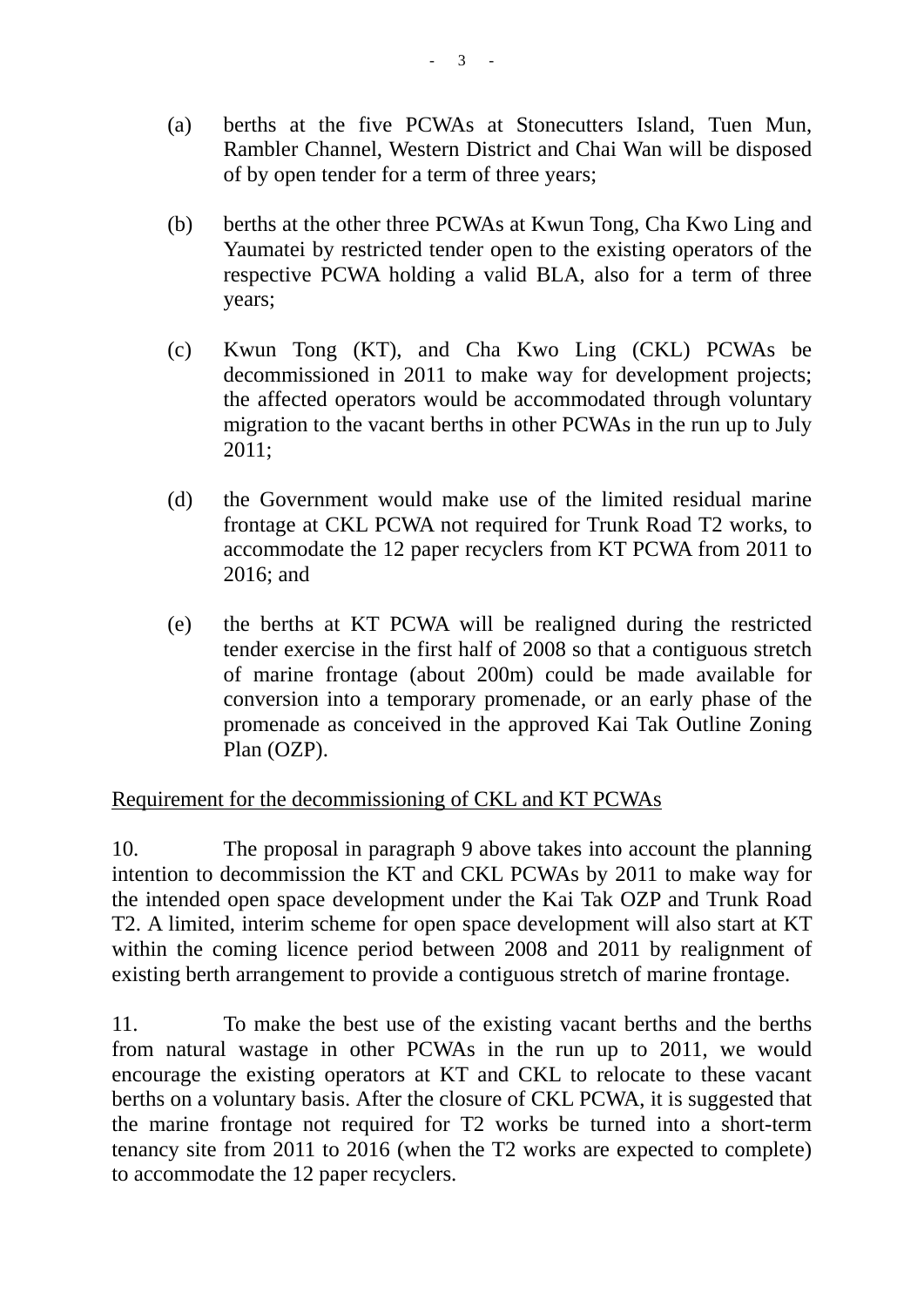- (a) berths at the five PCWAs at Stonecutters Island, Tuen Mun, Rambler Channel, Western District and Chai Wan will be disposed of by open tender for a term of three years;
- (b) berths at the other three PCWAs at Kwun Tong, Cha Kwo Ling and Yaumatei by restricted tender open to the existing operators of the respective PCWA holding a valid BLA, also for a term of three years;
- (c) Kwun Tong (KT), and Cha Kwo Ling (CKL) PCWAs be decommissioned in 2011 to make way for development projects; the affected operators would be accommodated through voluntary migration to the vacant berths in other PCWAs in the run up to July 2011;
- (d) the Government would make use of the limited residual marine frontage at CKL PCWA not required for Trunk Road T2 works, to accommodate the 12 paper recyclers from KT PCWA from 2011 to 2016; and
- (e) the berths at KT PCWA will be realigned during the restricted tender exercise in the first half of 2008 so that a contiguous stretch of marine frontage (about 200m) could be made available for conversion into a temporary promenade, or an early phase of the promenade as conceived in the approved Kai Tak Outline Zoning Plan (OZP).

## Requirement for the decommissioning of CKL and KT PCWAs

10. The proposal in paragraph 9 above takes into account the planning intention to decommission the KT and CKL PCWAs by 2011 to make way for the intended open space development under the Kai Tak OZP and Trunk Road T2. A limited, interim scheme for open space development will also start at KT within the coming licence period between 2008 and 2011 by realignment of existing berth arrangement to provide a contiguous stretch of marine frontage.

11. To make the best use of the existing vacant berths and the berths from natural wastage in other PCWAs in the run up to 2011, we would encourage the existing operators at KT and CKL to relocate to these vacant berths on a voluntary basis. After the closure of CKL PCWA, it is suggested that the marine frontage not required for T2 works be turned into a short-term tenancy site from 2011 to 2016 (when the T2 works are expected to complete) to accommodate the 12 paper recyclers.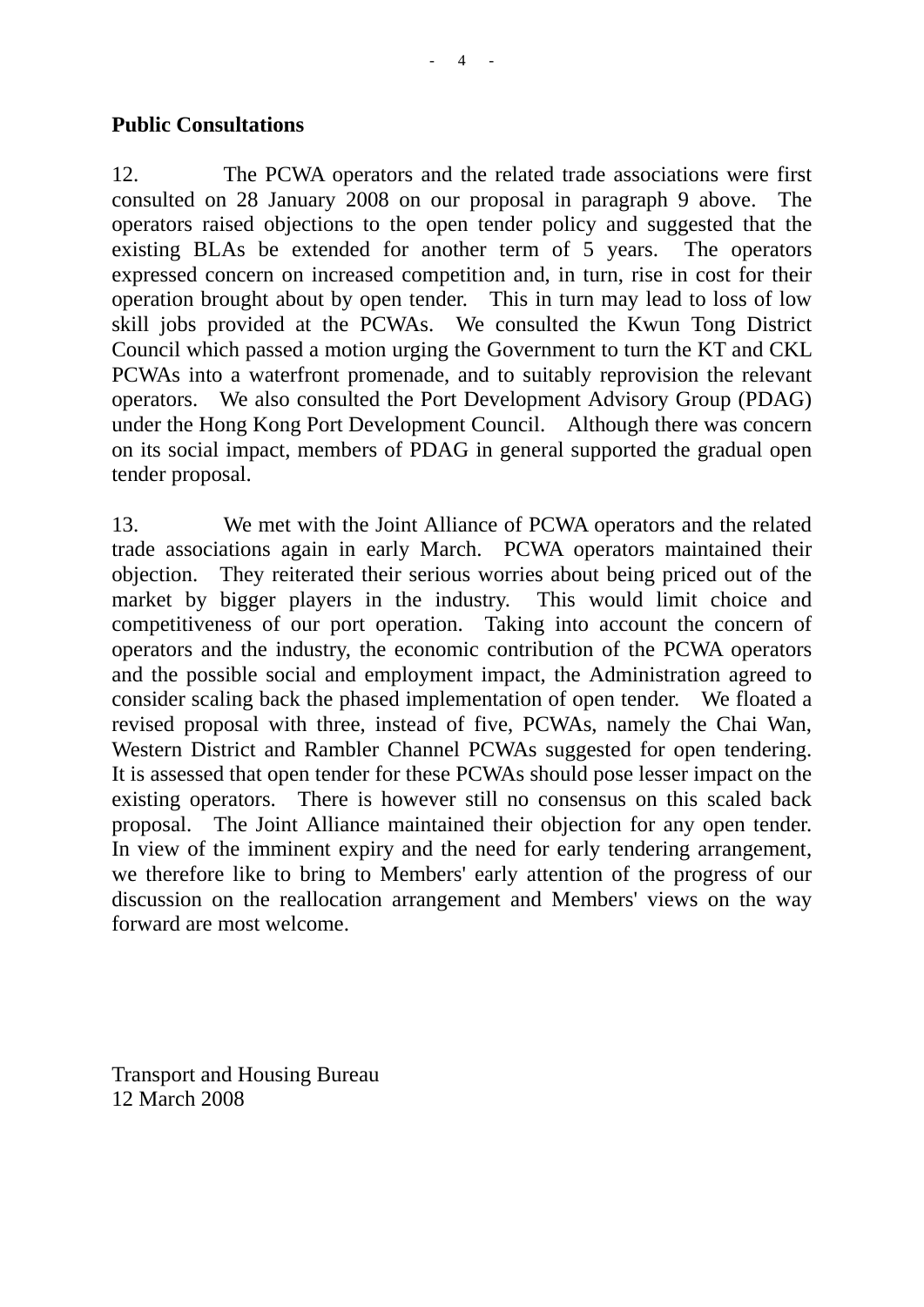#### **Public Consultations**

12. The PCWA operators and the related trade associations were first consulted on 28 January 2008 on our proposal in paragraph 9 above. The operators raised objections to the open tender policy and suggested that the existing BLAs be extended for another term of 5 years. The operators expressed concern on increased competition and, in turn, rise in cost for their operation brought about by open tender. This in turn may lead to loss of low skill jobs provided at the PCWAs. We consulted the Kwun Tong District Council which passed a motion urging the Government to turn the KT and CKL PCWAs into a waterfront promenade, and to suitably reprovision the relevant operators. We also consulted the Port Development Advisory Group (PDAG) under the Hong Kong Port Development Council. Although there was concern on its social impact, members of PDAG in general supported the gradual open tender proposal.

13. We met with the Joint Alliance of PCWA operators and the related trade associations again in early March. PCWA operators maintained their objection. They reiterated their serious worries about being priced out of the market by bigger players in the industry. This would limit choice and competitiveness of our port operation. Taking into account the concern of operators and the industry, the economic contribution of the PCWA operators and the possible social and employment impact, the Administration agreed to consider scaling back the phased implementation of open tender. We floated a revised proposal with three, instead of five, PCWAs, namely the Chai Wan, Western District and Rambler Channel PCWAs suggested for open tendering. It is assessed that open tender for these PCWAs should pose lesser impact on the existing operators. There is however still no consensus on this scaled back proposal. The Joint Alliance maintained their objection for any open tender. In view of the imminent expiry and the need for early tendering arrangement, we therefore like to bring to Members' early attention of the progress of our discussion on the reallocation arrangement and Members' views on the way forward are most welcome.

Transport and Housing Bureau 12 March 2008